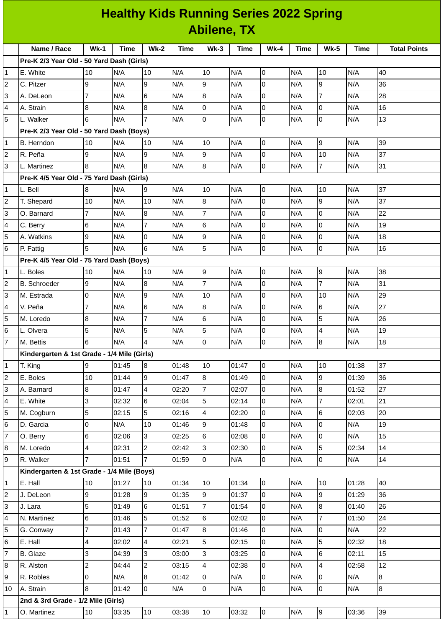## **Healthy Kids Running Series 2022 Spring Abilene, TX**

|                | Name / Race                                                                                                      | $Wk-1$         | <b>Time</b> | $Wk-2$         | Time  | $Wk-3$                 | Time  | <b>Wk-4</b>    | Time       | <b>Wk-5</b>              | Time  | <b>Total Points</b> |
|----------------|------------------------------------------------------------------------------------------------------------------|----------------|-------------|----------------|-------|------------------------|-------|----------------|------------|--------------------------|-------|---------------------|
|                | Pre-K 2/3 Year Old - 50 Yard Dash (Girls)                                                                        |                |             |                |       |                        |       |                |            |                          |       |                     |
| 1              | E. White                                                                                                         | 10             | N/A         | 10             | N/A   | 10                     | N/A   | 0              | N/A        | 10                       | N/A   | 40                  |
| 2              | C. Pitzer                                                                                                        | 9              | N/A         | 9              | N/A   | 9                      | N/A   | $\mathsf 0$    | N/A        | 9                        | N/A   | 36                  |
| 3              | A. DeLeon                                                                                                        | $\overline{7}$ | N/A         | 6              | N/A   | 8                      | N/A   | $\mathsf{O}$   | N/A        | $\overline{7}$           | N/A   | 28                  |
| 4              | A. Strain                                                                                                        | 8              | N/A         | 8              | N/A   | $\pmb{0}$              | N/A   | $\mathbf 0$    | N/A        | 0                        | N/A   | 16                  |
| 5              | L. Walker                                                                                                        | 6              | N/A         | $\overline{7}$ | N/A   | $\overline{0}$         | N/A   | $\overline{0}$ | N/A        | 0                        | N/A   | 13                  |
|                | Pre-K 2/3 Year Old - 50 Yard Dash (Boys)<br>B. Herndon                                                           | 10             | N/A         |                | N/A   | 10                     | N/A   | $\overline{0}$ | N/A        | 9                        | N/A   | 39                  |
| 1              |                                                                                                                  |                |             | 10             | N/A   |                        | N/A   |                |            |                          |       | 37                  |
| $\overline{c}$ | R. Peña                                                                                                          | 9<br>8         | N/A         | 9<br>8         |       | 9<br>$\overline{8}$    |       | $\pmb{0}$      | N/A        | 10<br>$\overline{7}$     | N/A   |                     |
| 3              | L. Martinez                                                                                                      |                | N/A         |                | N/A   |                        | N/A   | $\pmb{0}$      | N/A        |                          | N/A   | 31                  |
|                | Pre-K 4/5 Year Old - 75 Yard Dash (Girls)<br>37<br>N/A<br>N/A<br>10<br>10<br>N/A<br>$\overline{0}$<br>N/A<br>N/A |                |             |                |       |                        |       |                |            |                          |       |                     |
| 1              | L. Bell                                                                                                          | 8              |             | 9              |       |                        |       |                |            | 9                        |       | 37                  |
| 2              | T. Shepard                                                                                                       | 10             | N/A         | 10             | N/A   | 8                      | N/A   | O              | N/A        |                          | N/A   |                     |
| 3              | O. Barnard                                                                                                       | 7              | N/A         | 8              | N/A   | $\overline{7}$         | N/A   | 0              | N/A        | lo<br>$\overline{0}$     | N/A   | 22                  |
| 4              | C. Berry                                                                                                         | 6              | N/A         | $\overline{7}$ | N/A   | $6\phantom{a}$         | N/A   | $\mathsf 0$    | N/A        |                          | N/A   | 19                  |
| 5              | A. Watkins                                                                                                       | 9              | N/A         | 0<br>6         | N/A   | 9<br>5                 | N/A   | 0              | N/A        | 0                        | N/A   | 18                  |
| 6              | P. Fattig                                                                                                        | 5              | N/A         |                | N/A   |                        | N/A   | 0              | N/A        | $\mathsf 0$              | N/A   | 16                  |
|                | Pre-K 4/5 Year Old - 75 Yard Dash (Boys)<br>L. Boles                                                             |                | N/A         |                | N/A   |                        | N/A   | $\overline{0}$ | N/A        | 9                        | N/A   | 38                  |
| 1              | <b>B.</b> Schroeder                                                                                              | 10<br>9        | N/A         | 10<br>8        | N/A   | 9<br>$\overline{7}$    | N/A   | $\mathsf{O}$   | N/A        | $\overline{7}$           | N/A   | 31                  |
| 2              |                                                                                                                  | 0              | N/A         | 9              | N/A   |                        | N/A   | 0              |            | 10                       | N/A   | 29                  |
| 3<br>4         | M. Estrada<br>V. Peña                                                                                            | $\overline{7}$ | N/A         | 6              | N/A   | 10<br>$\boldsymbol{8}$ | N/A   | 0              | N/A<br>N/A | $\,6$                    | N/A   | 27                  |
| 5              | M. Loredo                                                                                                        | 8              | N/A         | $\overline{7}$ | N/A   | $6\phantom{a}$         | N/A   | 0              | N/A        | 5                        | N/A   | 26                  |
| 6              | L. Olvera                                                                                                        | 5              | N/A         | 5              | N/A   | 5                      | N/A   | 0              | N/A        | $\overline{\mathcal{L}}$ | N/A   | 19                  |
| $\overline{7}$ | M. Bettis                                                                                                        | 6              | N/A         | $\overline{4}$ | N/A   | $\overline{0}$         | N/A   | $\pmb{0}$      | N/A        | 8                        | N/A   | 18                  |
|                | Kindergarten & 1st Grade - 1/4 Mile (Girls)                                                                      |                |             |                |       |                        |       |                |            |                          |       |                     |
| 1              | T. King                                                                                                          | 9              | 01:45       | $\overline{8}$ | 01:48 | 10                     | 01:47 | $\overline{0}$ | N/A        | 10                       | 01:38 | 37                  |
| 2              | E. Boles                                                                                                         | 10             | 01:44       | 9              | 01:47 | 8                      | 01:49 | l0             | N/A        | 9                        | 01:39 | 36                  |
| 3              | A. Barnard                                                                                                       | 8              | 01:47       | 4              | 02:20 | $\overline{7}$         | 02:07 | l0             | N/A        | 8                        | 01:52 | 27                  |
| 4              | E. White                                                                                                         | 3              | 02:32       | 6              | 02:04 | 5                      | 02:14 | 0              | N/A        | $\overline{7}$           | 02:01 | 21                  |
| 5              | M. Cogburn                                                                                                       | 5              | 02:15       | 5              | 02:16 | $\overline{4}$         | 02:20 | $\overline{0}$ | N/A        | $6\phantom{a}$           | 02:03 | 20                  |
| 6              | D. Garcia                                                                                                        | 0              | N/A         | 10             | 01:46 | 9                      | 01:48 | l0             | N/A        | l0                       | N/A   | 19                  |
| 7              | O. Berry                                                                                                         | 6              | 02:06       | 3              | 02:25 | 6                      | 02:08 | 0              | N/A        | 0                        | N/A   | 15                  |
| 8              | M. Loredo                                                                                                        | 4              | 02:31       | $\overline{c}$ | 02:42 | $\overline{3}$         | 02:30 | $\overline{0}$ | N/A        | 5                        | 02:34 | 14                  |
| 9              | R. Walker                                                                                                        | $\overline{7}$ | 01:51       | $\overline{7}$ | 01:59 | $\overline{0}$         | N/A   | $\overline{0}$ | N/A        | $\overline{0}$           | N/A   | 14                  |
|                | Kindergarten & 1st Grade - 1/4 Mile (Boys)                                                                       |                |             |                |       |                        |       |                |            |                          |       |                     |
| 1              | E. Hall                                                                                                          | 10             | 01:27       | 10             | 01:34 | 10                     | 01:34 | l0             | N/A        | 10                       | 01:28 | 40                  |
| 2              | J. DeLeon                                                                                                        | 9              | 01:28       | 9              | 01:35 | 9                      | 01:37 | $\overline{0}$ | N/A        | 9                        | 01:29 | 36                  |
| 3              | J. Lara                                                                                                          | 5              | 01:49       | 6              | 01:51 | $\overline{7}$         | 01:54 | $\overline{0}$ | N/A        | 8                        | 01:40 | 26                  |
| 4              | N. Martinez                                                                                                      | 6              | 01:46       | 5              | 01:52 | 6                      | 02:02 | l0             | N/A        | $\overline{7}$           | 01:50 | 24                  |
| 5              | G. Conway                                                                                                        | $\overline{7}$ | 01:43       | $\overline{7}$ | 01:47 | 8                      | 01:46 | $\overline{0}$ | N/A        | $\mathsf 0$              | N/A   | 22                  |
| 6              | E. Hall                                                                                                          | 4              | 02:02       | 4              | 02:21 | 5                      | 02:15 | $\overline{0}$ | N/A        | 5                        | 02:32 | 18                  |
| 7              | B. Glaze                                                                                                         | 3              | 04:39       | 3              | 03:00 | 3                      | 03:25 | $\overline{0}$ | N/A        | 6                        | 02:11 | 15                  |
| 8              | R. Alston                                                                                                        | $\overline{c}$ | 04:44       | $\overline{c}$ | 03:15 | $\overline{4}$         | 02:38 | $\overline{0}$ | N/A        | $\overline{\mathbf{4}}$  | 02:58 | 12                  |
| 9              | R. Robles                                                                                                        | 0              | N/A         | 8              | 01:42 | $\overline{0}$         | N/A   | 0              | N/A        | $\mathsf{O}$             | N/A   | 8                   |
| 10             | A. Strain                                                                                                        | 8              | 01:42       | $\overline{0}$ | N/A   | $\overline{0}$         | N/A   | $\overline{0}$ | N/A        | $\overline{0}$           | N/A   | 8                   |
|                | 2nd & 3rd Grade - 1/2 Mile (Girls)                                                                               |                |             |                |       |                        |       |                |            |                          |       |                     |
| 1              | O. Martinez                                                                                                      | 10             | 03:35       | 10             | 03:38 | 10                     | 03:32 | O              | N/A        | $\overline{9}$           | 03:36 | 39                  |
|                |                                                                                                                  |                |             |                |       |                        |       |                |            |                          |       |                     |